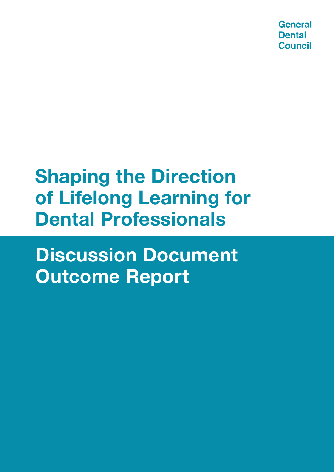**General Dental Council** 

# **Shaping the Direction of Lifelong Learning for Dental Professionals**

**Discussion Document Outcome Report**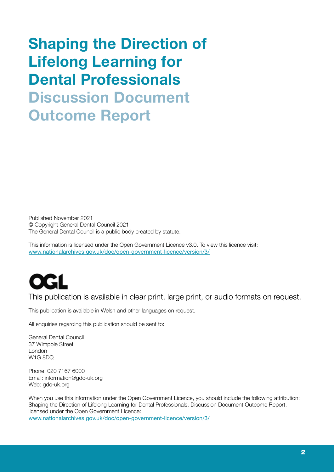# Shaping the Direction of Lifelong Learning for Dental Professionals Discussion Document Outcome Report

Published November 2021 © Copyright General Dental Council 2021 The General Dental Council is a public body created by statute.

This information is licensed under the Open Government Licence v3.0. To view this licence visit: [www.nationalarchives.gov.uk/doc/open-government-licence/version/3/](https://www.nationalarchives.gov.uk/doc/open-government-licence/version/3/)



This publication is available in clear print, large print, or audio formats on request.

This publication is available in Welsh and other languages on request.

All enquiries regarding this publication should be sent to:

General Dental Council 37 Wimpole Street London W1G 8DQ

Phone: 020 7167 6000 Email: information@gdc-uk.org Web: gdc-uk.org

When you use this information under the Open Government Licence, you should include the following attribution: Shaping the Direction of Lifelong Learning for Dental Professionals: Discussion Document Outcome Report, licensed under the Open Government Licence: [www.nationalarchives.gov.uk/doc/open-government-licence/version/3/](https://www.nationalarchives.gov.uk/doc/open-government-licence/version/3/)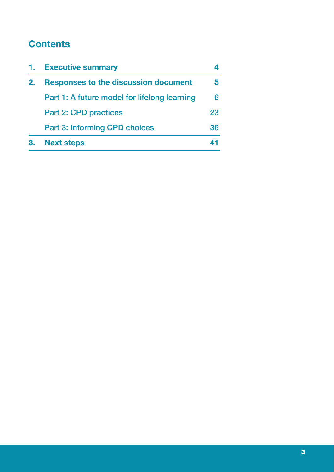# **Contents**

| 1. | <b>Executive summary</b>                     |    |
|----|----------------------------------------------|----|
| 2. | <b>Responses to the discussion document</b>  |    |
|    | Part 1: A future model for lifelong learning | 6  |
|    | <b>Part 2: CPD practices</b>                 | 23 |
|    | <b>Part 3: Informing CPD choices</b>         | 36 |
|    | <b>Next steps</b>                            |    |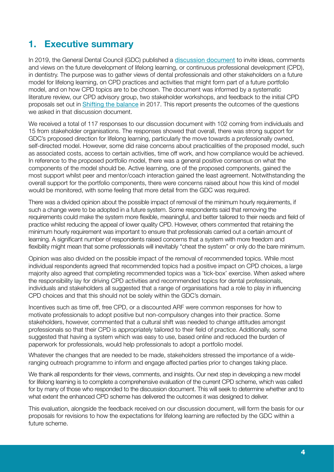# **1. Executive summary**

In 2019, the General Dental Council (GDC) published a [discussion document](http://www.gdc-uk.org/docs/default-source/consultations-and-responses/shaping-the-direction-of-lifelong-learning-for-dental-professionals.pdf?sfvrsn=79c274df_2) to invite ideas, comments and views on the future development of lifelong learning, or continuous professional development (CPD), in dentistry. The purpose was to gather views of dental professionals and other stakeholders on a future model for lifelong learning, on CPD practices and activities that might form part of a future portfolio model, and on how CPD topics are to be chosen. The document was informed by a systematic literature review, our CPD advisory group, two stakeholder workshops, and feedback to the initial CPD proposals set out in [Shifting the balance](http://www.gdc-uk.org/about-us/our-organisation/our-corporate-strategy-and-business-plans/shifting-the-balance) in 2017. This report presents the outcomes of the questions we asked in that discussion document.

We received a total of 117 responses to our discussion document with 102 coming from individuals and 15 from stakeholder organisations. The responses showed that overall, there was strong support for GDC's proposed direction for lifelong learning, particularly the move towards a professionally owned, self-directed model. However, some did raise concerns about practicalities of the proposed model, such as associated costs, access to certain activities, time off work, and how compliance would be achieved. In reference to the proposed portfolio model, there was a general positive consensus on what the components of the model should be. Active learning, one of the proposed components, gained the most support whilst peer and mentor/coach interaction gained the least agreement. Notwithstanding the overall support for the portfolio components, there were concerns raised about how this kind of model would be monitored, with some feeling that more detail from the GDC was required.

There was a divided opinion about the possible impact of removal of the minimum hourly requirements, if such a change were to be adopted in a future system. Some respondents said that removing the requirements could make the system more flexible, meaningful, and better tailored to their needs and field of practice whilst reducing the appeal of lower quality CPD. However, others commented that retaining the minimum hourly requirement was important to ensure that professionals carried out a certain amount of learning. A significant number of respondents raised concerns that a system with more freedom and flexibility might mean that some professionals will inevitably "cheat the system" or only do the bare minimum.

Opinion was also divided on the possible impact of the removal of recommended topics. While most individual respondents agreed that recommended topics had a positive impact on CPD choices, a large majority also agreed that completing recommended topics was a 'tick-box' exercise. When asked where the responsibility lay for driving CPD activities and recommended topics for dental professionals, individuals and stakeholders all suggested that a range of organisations had a role to play in influencing CPD choices and that this should not be solely within the GDC's domain.

Incentives such as time off, free CPD, or a discounted ARF were common responses for how to motivate professionals to adopt positive but non-compulsory changes into their practice. Some stakeholders, however, commented that a cultural shift was needed to change attitudes amongst professionals so that their CPD is appropriately tailored to their field of practice. Additionally, some suggested that having a system which was easy to use, based online and reduced the burden of paperwork for professionals, would help professionals to adopt a portfolio model.

Whatever the changes that are needed to be made, stakeholders stressed the importance of a wideranging outreach programme to inform and engage affected parties prior to changes taking place.

We thank all respondents for their views, comments, and insights. Our next step in developing a new model for lifelong learning is to complete a comprehensive evaluation of the current CPD scheme, which was called for by many of those who responded to the discussion document. This will seek to determine whether and to what extent the enhanced CPD scheme has delivered the outcomes it was designed to deliver.

This evaluation, alongside the feedback received on our discussion document, will form the basis for our proposals for revisions to how the expectations for lifelong learning are reflected by the GDC within a future scheme.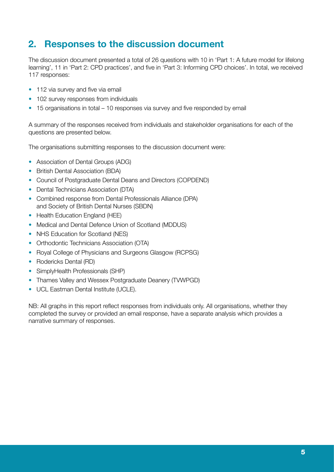# **2. Responses to the discussion document**

The discussion document presented a total of 26 questions with 10 in 'Part 1: A future model for lifelong learning', 11 in 'Part 2: CPD practices', and five in 'Part 3: Informing CPD choices'. In total, we received 117 responses:

- 112 via survey and five via email
- 102 survey responses from individuals
- 15 organisations in total 10 responses via survey and five responded by email

A summary of the responses received from individuals and stakeholder organisations for each of the questions are presented below.

The organisations submitting responses to the discussion document were:

- Association of Dental Groups (ADG)
- British Dental Association (BDA)
- Council of Postgraduate Dental Deans and Directors (COPDEND)
- Dental Technicians Association (DTA)
- Combined response from Dental Professionals Alliance (DPA) and Society of British Dental Nurses (SBDN)
- Health Education England (HEE)
- Medical and Dental Defence Union of Scotland (MDDUS)
- NHS Education for Scotland (NES)
- Orthodontic Technicians Association (OTA)
- Royal College of Physicians and Surgeons Glasgow (RCPSG)
- Rodericks Dental (RD)
- SimplyHealth Professionals (SHP)
- Thames Valley and Wessex Postgraduate Deanery (TVWPGD)
- UCL Eastman Dental Institute (UCLE).

NB: All graphs in this report reflect responses from individuals only. All organisations, whether they completed the survey or provided an email response, have a separate analysis which provides a narrative summary of responses.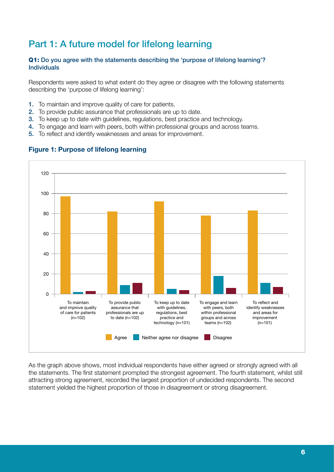# Part 1: A future model for lifelong learning

#### Q1: Do you agree with the statements describing the 'purpose of lifelong learning'? Individuals

Respondents were asked to what extent do they agree or disagree with the following statements describing the 'purpose of lifelong learning':

- 1. To maintain and improve quality of care for patients.
- 2. To provide public assurance that professionals are up to date.
- 3. To keep up to date with guidelines, regulations, best practice and technology.
- 4. To engage and learn with peers, both within professional groups and across teams.
- 5. To reflect and identify weaknesses and areas for improvement.



#### Figure 1: Purpose of lifelong learning

As the graph above shows, most individual respondents have either agreed or strongly agreed with all the statements. The first statement prompted the strongest agreement. The fourth statement, whilst still attracting strong agreement, recorded the largest proportion of undecided respondents. The second statement yielded the highest proportion of those in disagreement or strong disagreement.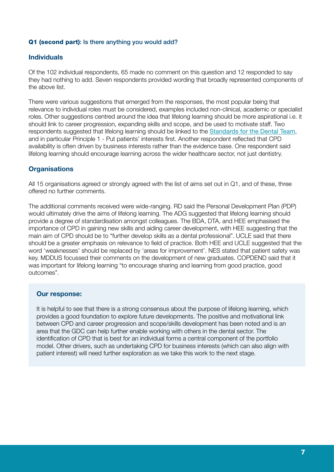#### Q1 (second part): Is there anything you would add?

#### **Individuals**

Of the 102 individual respondents, 65 made no comment on this question and 12 responded to say they had nothing to add. Seven respondents provided wording that broadly represented components of the above list.

There were various suggestions that emerged from the responses, the most popular being that relevance to individual roles must be considered, examples included non-clinical, academic or specialist roles. Other suggestions centred around the idea that lifelong learning should be more aspirational i.e. it should link to career progression, expanding skills and scope, and be used to motivate staff. Two respondents suggested that lifelong learning should be linked to the **[Standards for the Dental Team](https://www.gdc-uk.org/information-standards-guidance/standards-and-guidance/standards-for-the-dental-team)**, and in particular Principle 1 - Put patients' interests first. Another respondent reflected that CPD availability is often driven by business interests rather than the evidence base. One respondent said lifelong learning should encourage learning across the wider healthcare sector, not just dentistry.

# **Organisations**

All 15 organisations agreed or strongly agreed with the list of aims set out in Q1, and of these, three offered no further comments.

The additional comments received were wide-ranging. RD said the Personal Development Plan (PDP) would ultimately drive the aims of lifelong learning. The ADG suggested that lifelong learning should provide a degree of standardisation amongst colleagues. The BDA, DTA, and HEE emphasised the importance of CPD in gaining new skills and aiding career development, with HEE suggesting that the main aim of CPD should be to "further develop skills as a dental professional". UCLE said that there should be a greater emphasis on relevance to field of practice. Both HEE and UCLE suggested that the word 'weaknesses' should be replaced by 'areas for improvement'. NES stated that patient safety was key. MDDUS focussed their comments on the development of new graduates. COPDEND said that it was important for lifelong learning "to encourage sharing and learning from good practice, good outcomes".

#### Our response:

It is helpful to see that there is a strong consensus about the purpose of lifelong learning, which provides a good foundation to explore future developments. The positive and motivational link between CPD and career progression and scope/skills development has been noted and is an area that the GDC can help further enable working with others in the dental sector. The identification of CPD that is best for an individual forms a central component of the portfolio model. Other drivers, such as undertaking CPD for business interests (which can also align with patient interest) will need further exploration as we take this work to the next stage.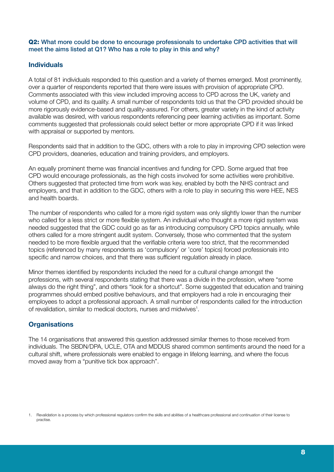#### Q2: What more could be done to encourage professionals to undertake CPD activities that will meet the aims listed at Q1? Who has a role to play in this and why?

# **Individuals**

A total of 81 individuals responded to this question and a variety of themes emerged. Most prominently, over a quarter of respondents reported that there were issues with provision of appropriate CPD. Comments associated with this view included improving access to CPD across the UK, variety and volume of CPD, and its quality. A small number of respondents told us that the CPD provided should be more rigorously evidence-based and quality-assured. For others, greater variety in the kind of activity available was desired, with various respondents referencing peer learning activities as important. Some comments suggested that professionals could select better or more appropriate CPD if it was linked with appraisal or supported by mentors.

Respondents said that in addition to the GDC, others with a role to play in improving CPD selection were CPD providers, deaneries, education and training providers, and employers.

An equally prominent theme was financial incentives and funding for CPD. Some argued that free CPD would encourage professionals, as the high costs involved for some activities were prohibitive. Others suggested that protected time from work was key, enabled by both the NHS contract and employers, and that in addition to the GDC, others with a role to play in securing this were HEE, NES and health boards.

The number of respondents who called for a more rigid system was only slightly lower than the number who called for a less strict or more flexible system. An individual who thought a more rigid system was needed suggested that the GDC could go as far as introducing compulsory CPD topics annually, while others called for a more stringent audit system. Conversely, those who commented that the system needed to be more flexible argued that the verifiable criteria were too strict, that the recommended topics (referenced by many respondents as 'compulsory' or 'core' topics) forced professionals into specific and narrow choices, and that there was sufficient regulation already in place.

Minor themes identified by respondents included the need for a cultural change amongst the professions, with several respondents stating that there was a divide in the profession, where "some always do the right thing", and others "look for a shortcut". Some suggested that education and training programmes should embed positive behaviours, and that employers had a role in encouraging their employees to adopt a professional approach. A small number of respondents called for the introduction of revalidation, similar to medical doctors, nurses and midwives<sup>1</sup>.

# **Organisations**

The 14 organisations that answered this question addressed similar themes to those received from individuals. The SBDN/DPA, UCLE, OTA and MDDUS shared common sentiments around the need for a cultural shift, where professionals were enabled to engage in lifelong learning, and where the focus moved away from a "punitive tick box approach".

<sup>1.</sup> Revalidation is a process by which professional regulators confirm the skills and abilities of a healthcare professional and continuation of their license to practise.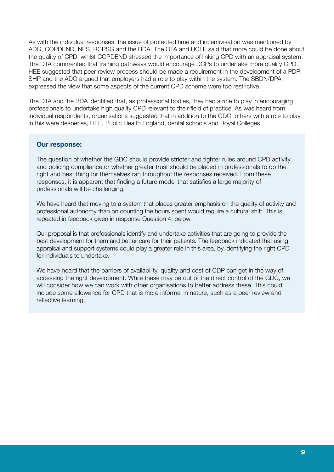As with the individual responses, the issue of protected time and incentivisation was mentioned by ADG, COPDEND, NES, RCPSG and the BDA. The OTA and UCLE said that more could be done about the quality of CPD, whilst COPDEND stressed the importance of linking CPD with an appraisal system. The DTA commented that training pathways would encourage DCPs to undertake more quality CPD. HEE suggested that peer review process should be made a requirement in the development of a PDP. SHP and the ADG argued that employers had a role to play within the system. The SBDN/DPA expressed the view that some aspects of the current CPD scheme were too restrictive.

The DTA and the BDA identified that, as professional bodies, they had a role to play in encouraging professionals to undertake high quality CPD relevant to their field of practice. As was heard from individual respondents, organisations suggested that in addition to the GDC, others with a role to play in this were deaneries, HEE, Public Health England, dental schools and Royal Colleges.

#### Our response:

The question of whether the GDC should provide stricter and tighter rules around CPD activity and policing compliance or whether greater trust should be placed in professionals to do the right and best thing for themselves ran throughout the responses received. From these responses, it is apparent that finding a future model that satisfies a large majority of professionals will be challenging.

We have heard that moving to a system that places greater emphasis on the quality of activity and professional autonomy than on counting the hours spent would require a cultural shift. This is repeated in feedback given in response Question 4, below.

Our proposal is that professionals identify and undertake activities that are going to provide the best development for them and better care for their patients. The feedback indicated that using appraisal and support systems could play a greater role in this area, by identifying the right CPD for individuals to undertake.

We have heard that the barriers of availability, quality and cost of CDP can get in the way of accessing the right development. While these may be out of the direct control of the GDC, we will consider how we can work with other organisations to better address these. This could include some allowance for CPD that is more informal in nature, such as a peer review and reflective learning.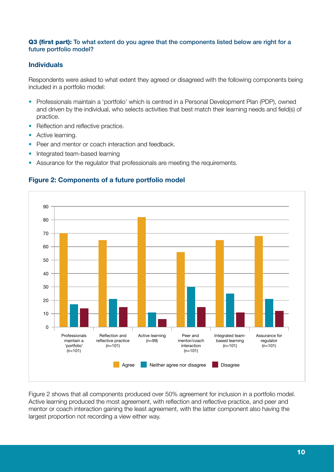#### Q3 (first part): To what extent do you agree that the components listed below are right for a future portfolio model?

# Individuals

Respondents were asked to what extent they agreed or disagreed with the following components being included in a portfolio model:

- Professionals maintain a 'portfolio' which is centred in a Personal Development Plan (PDP), owned and driven by the individual, who selects activities that best match their learning needs and field(s) of practice.
- Reflection and reflective practice.
- Active learning.
- Peer and mentor or coach interaction and feedback.
- Integrated team-based learning
- Assurance for the regulator that professionals are meeting the requirements.



# Figure 2: Components of a future portfolio model

Figure 2 shows that all components produced over 50% agreement for inclusion in a portfolio model. Active learning produced the most agreement, with reflection and reflective practice, and peer and mentor or coach interaction gaining the least agreement, with the latter component also having the largest proportion not recording a view either way.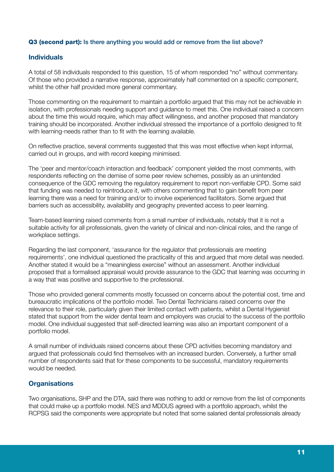#### Q3 (second part): Is there anything you would add or remove from the list above?

#### **Individuals**

A total of 58 individuals responded to this question, 15 of whom responded "no" without commentary. Of those who provided a narrative response, approximately half commented on a specific component, whilst the other half provided more general commentary.

Those commenting on the requirement to maintain a portfolio argued that this may not be achievable in isolation, with professionals needing support and guidance to meet this. One individual raised a concern about the time this would require, which may affect willingness, and another proposed that mandatory training should be incorporated. Another individual stressed the importance of a portfolio designed to fit with learning-needs rather than to fit with the learning available.

On reflective practice, several comments suggested that this was most effective when kept informal, carried out in groups, and with record keeping minimised.

The 'peer and mentor/coach interaction and feedback' component yielded the most comments, with respondents reflecting on the demise of some peer review schemes, possibly as an unintended consequence of the GDC removing the regulatory requirement to report non-verifiable CPD. Some said that funding was needed to reintroduce it, with others commenting that to gain benefit from peer learning there was a need for training and/or to involve experienced facilitators. Some argued that barriers such as accessibility, availability and geography prevented access to peer learning.

Team-based learning raised comments from a small number of individuals, notably that it is not a suitable activity for all professionals, given the variety of clinical and non-clinical roles, and the range of workplace settings.

Regarding the last component, 'assurance for the regulator that professionals are meeting requirements', one individual questioned the practicality of this and argued that more detail was needed. Another stated it would be a "meaningless exercise" without an assessment. Another individual proposed that a formalised appraisal would provide assurance to the GDC that learning was occurring in a way that was positive and supportive to the professional.

Those who provided general comments mostly focussed on concerns about the potential cost, time and bureaucratic implications of the portfolio model. Two Dental Technicians raised concerns over the relevance to their role, particularly given their limited contact with patients, whilst a Dental Hygienist stated that support from the wider dental team and employers was crucial to the success of the portfolio model. One individual suggested that self-directed learning was also an important component of a portfolio model.

A small number of individuals raised concerns about these CPD activities becoming mandatory and argued that professionals could find themselves with an increased burden. Conversely, a further small number of respondents said that for these components to be successful, mandatory requirements would be needed.

# **Organisations**

Two organisations, SHP and the DTA, said there was nothing to add or remove from the list of components that could make up a portfolio model. NES and MDDUS agreed with a portfolio approach, whilst the RCPSG said the components were appropriate but noted that some salaried dental professionals already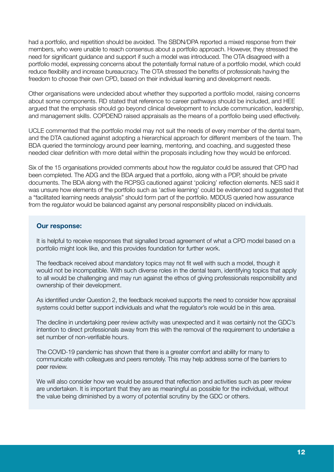had a portfolio, and repetition should be avoided. The SBDN/DPA reported a mixed response from their members, who were unable to reach consensus about a portfolio approach. However, they stressed the need for significant guidance and support if such a model was introduced. The OTA disagreed with a portfolio model, expressing concerns about the potentially formal nature of a portfolio model, which could reduce flexibility and increase bureaucracy. The OTA stressed the benefits of professionals having the freedom to choose their own CPD, based on their individual learning and development needs.

Other organisations were undecided about whether they supported a portfolio model, raising concerns about some components. RD stated that reference to career pathways should be included, and HEE argued that the emphasis should go beyond clinical development to include communication, leadership, and management skills. COPDEND raised appraisals as the means of a portfolio being used effectively.

UCLE commented that the portfolio model may not suit the needs of every member of the dental team, and the DTA cautioned against adopting a hierarchical approach for different members of the team. The BDA queried the terminology around peer learning, mentoring, and coaching, and suggested these needed clear definition with more detail within the proposals including how they would be enforced.

Six of the 15 organisations provided comments about how the regulator could be assured that CPD had been completed. The ADG and the BDA argued that a portfolio, along with a PDP, should be private documents. The BDA along with the RCPSG cautioned against 'policing' reflection elements. NES said it was unsure how elements of the portfolio such as 'active learning' could be evidenced and suggested that a "facilitated learning needs analysis" should form part of the portfolio. MDDUS queried how assurance from the regulator would be balanced against any personal responsibility placed on individuals.

#### Our response:

It is helpful to receive responses that signalled broad agreement of what a CPD model based on a portfolio might look like, and this provides foundation for further work.

The feedback received about mandatory topics may not fit well with such a model, though it would not be incompatible. With such diverse roles in the dental team, identifying topics that apply to all would be challenging and may run against the ethos of giving professionals responsibility and ownership of their development.

As identified under Question 2, the feedback received supports the need to consider how appraisal systems could better support individuals and what the regulator's role would be in this area.

The decline in undertaking peer review activity was unexpected and it was certainly not the GDC's intention to direct professionals away from this with the removal of the requirement to undertake a set number of non-verifiable hours.

The COVID-19 pandemic has shown that there is a greater comfort and ability for many to communicate with colleagues and peers remotely. This may help address some of the barriers to peer review.

We will also consider how we would be assured that reflection and activities such as peer review are undertaken. It is important that they are as meaningful as possible for the individual, without the value being diminished by a worry of potential scrutiny by the GDC or others.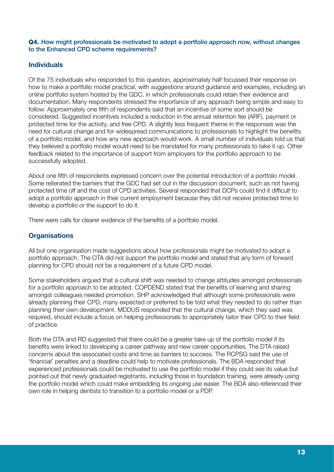#### Q4. How might professionals be motivated to adopt a portfolio approach now, without changes to the Enhanced CPD scheme requirements?

# **Individuals**

Of the 75 individuals who responded to this question, approximately half focussed their response on how to make a portfolio model practical, with suggestions around guidance and examples, including an online portfolio system hosted by the GDC, in which professionals could retain their evidence and documentation. Many respondents stressed the importance of any approach being simple and easy to follow. Approximately one fifth of respondents said that an incentive of some sort should be considered. Suggested incentives included a reduction in the annual retention fee (ARF), payment or protected time for the activity, and free CPD. A slightly less frequent theme in the responses was the need for cultural change and for widespread communications to professionals to highlight the benefits of a portfolio model, and how any new approach would work. A small number of individuals told us that they believed a portfolio model would need to be mandated for many professionals to take it up. Other feedback related to the importance of support from employers for the portfolio approach to be successfully adopted.

About one fifth of respondents expressed concern over the potential introduction of a portfolio model. Some reiterated the barriers that the GDC had set out in the discussion document, such as not having protected time off and the cost of CPD activities. Several responded that DCPs could find it difficult to adopt a portfolio approach in their current employment because they did not receive protected time to develop a portfolio or the support to do it.

There were calls for clearer evidence of the benefits of a portfolio model.

# **Organisations**

All but one organisation made suggestions about how professionals might be motivated to adopt a portfolio approach. The OTA did not support the portfolio model and stated that any form of forward planning for CPD should not be a requirement of a future CPD model.

Some stakeholders argued that a cultural shift was needed to change attitudes amongst professionals for a portfolio approach to be adopted. COPDEND stated that the benefits of learning and sharing amongst colleagues needed promotion. SHP acknowledged that although some professionals were already planning their CPD, many expected or preferred to be told what they needed to do rather than planning their own development. MDDUS responded that the cultural change, which they said was required, should include a focus on helping professionals to appropriately tailor their CPD to their field of practice.

Both the DTA and RD suggested that there could be a greater take up of the portfolio model if its benefits were linked to developing a career pathway and new career opportunities. The DTA raised concerns about the associated costs and time as barriers to success. The RCPSG said the use of 'financial' penalties and a deadline could help to motivate professionals. The BDA responded that experienced professionals could be motivated to use the portfolio model if they could see its value but pointed out that newly graduated registrants, including those in foundation training, were already using the portfolio model which could make embedding its ongoing use easier. The BDA also referenced their own role in helping dentists to transition to a portfolio model or a PDP.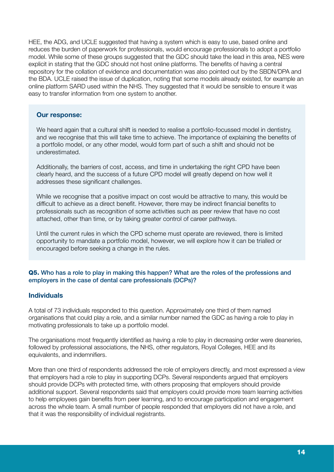HEE, the ADG, and UCLE suggested that having a system which is easy to use, based online and reduces the burden of paperwork for professionals, would encourage professionals to adopt a portfolio model. While some of these groups suggested that the GDC should take the lead in this area, NES were explicit in stating that the GDC should not host online platforms. The benefits of having a central repository for the collation of evidence and documentation was also pointed out by the SBDN/DPA and the BDA. UCLE raised the issue of duplication, noting that some models already existed, for example an online platform SARD used within the NHS. They suggested that it would be sensible to ensure it was easy to transfer information from one system to another.

#### Our response:

We heard again that a cultural shift is needed to realise a portfolio-focussed model in dentistry, and we recognise that this will take time to achieve. The importance of explaining the benefits of a portfolio model, or any other model, would form part of such a shift and should not be underestimated.

Additionally, the barriers of cost, access, and time in undertaking the right CPD have been clearly heard, and the success of a future CPD model will greatly depend on how well it addresses these significant challenges.

While we recognise that a positive impact on cost would be attractive to many, this would be difficult to achieve as a direct benefit. However, there may be indirect financial benefits to professionals such as recognition of some activities such as peer review that have no cost attached, other than time, or by taking greater control of career pathways.

Until the current rules in which the CPD scheme must operate are reviewed, there is limited opportunity to mandate a portfolio model, however, we will explore how it can be trialled or encouraged before seeking a change in the rules.

#### Q5. Who has a role to play in making this happen? What are the roles of the professions and employers in the case of dental care professionals (DCPs)?

# **Individuals**

A total of 73 individuals responded to this question. Approximately one third of them named organisations that could play a role, and a similar number named the GDC as having a role to play in motivating professionals to take up a portfolio model.

The organisations most frequently identified as having a role to play in decreasing order were deaneries, followed by professional associations, the NHS, other regulators, Royal Colleges, HEE and its equivalents, and indemnifiers.

More than one third of respondents addressed the role of employers directly, and most expressed a view that employers had a role to play in supporting DCPs. Several respondents argued that employers should provide DCPs with protected time, with others proposing that employers should provide additional support. Several respondents said that employers could provide more team learning activities to help employees gain benefits from peer learning, and to encourage participation and engagement across the whole team. A small number of people responded that employers did not have a role, and that it was the responsibility of individual registrants.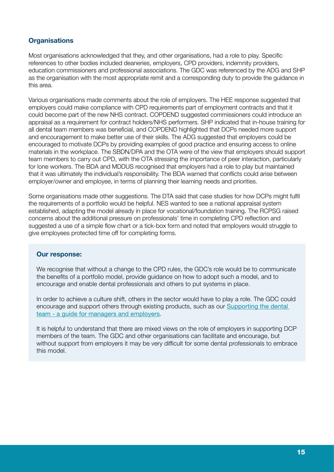# **Organisations**

Most organisations acknowledged that they, and other organisations, had a role to play. Specific references to other bodies included deaneries, employers, CPD providers, indemnity providers, education commissioners and professional associations. The GDC was referenced by the ADG and SHP as the organisation with the most appropriate remit and a corresponding duty to provide the guidance in this area.

Various organisations made comments about the role of employers. The HEE response suggested that employers could make compliance with CPD requirements part of employment contracts and that it could become part of the new NHS contract. COPDEND suggested commissioners could introduce an appraisal as a requirement for contract holders/NHS performers. SHP indicated that in-house training for all dental team members was beneficial, and COPDEND highlighted that DCPs needed more support and encouragement to make better use of their skills. The ADG suggested that employers could be encouraged to motivate DCPs by providing examples of good practice and ensuring access to online materials in the workplace. The SBDN/DPA and the OTA were of the view that employers should support team members to carry out CPD, with the OTA stressing the importance of peer interaction, particularly for lone workers. The BDA and MDDUS recognised that employers had a role to play but maintained that it was ultimately the individual's responsibility. The BDA warned that conflicts could arise between employer/owner and employee, in terms of planning their learning needs and priorities.

Some organisations made other suggestions. The DTA said that case studies for how DCPs might fulfil the requirements of a portfolio would be helpful. NES wanted to see a national appraisal system established, adapting the model already in place for vocational/foundation training. The RCPSG raised concerns about the additional pressure on professionals' time in completing CPD reflection and suggested a use of a simple flow chart or a tick-box form and noted that employers would struggle to give employees protected time off for completing forms.

#### Our response:

We recognise that without a change to the CPD rules, the GDC's role would be to communicate the benefits of a portfolio model, provide guidance on how to adopt such a model, and to encourage and enable dental professionals and others to put systems in place.

In order to achieve a culture shift, others in the sector would have to play a role. The GDC could encourage and support others through existing products, such as our [Supporting the dental](https://www.gdc-uk.org/information-standards-guidance/supporting-the-dental-team)  [team - a guide for managers and employers](https://www.gdc-uk.org/information-standards-guidance/supporting-the-dental-team).

It is helpful to understand that there are mixed views on the role of employers in supporting DCP members of the team. The GDC and other organisations can facilitate and encourage, but without support from employers it may be very difficult for some dental professionals to embrace this model.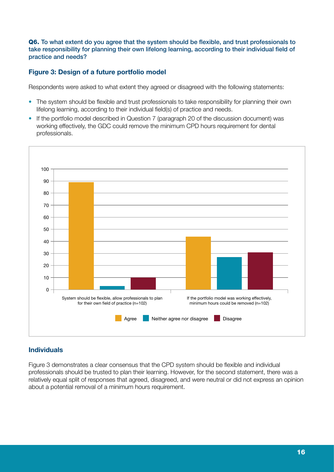Q6. To what extent do you agree that the system should be flexible, and trust professionals to take responsibility for planning their own lifelong learning, according to their individual field of practice and needs?

# Figure 3: Design of a future portfolio model

Respondents were asked to what extent they agreed or disagreed with the following statements:

- The system should be flexible and trust professionals to take responsibility for planning their own lifelong learning, according to their individual field(s) of practice and needs.
- If the portfolio model described in Question 7 (paragraph 20 of the discussion document) was working effectively, the GDC could remove the minimum CPD hours requirement for dental professionals.



# Individuals

Figure 3 demonstrates a clear consensus that the CPD system should be flexible and individual professionals should be trusted to plan their learning. However, for the second statement, there was a relatively equal split of responses that agreed, disagreed, and were neutral or did not express an opinion about a potential removal of a minimum hours requirement.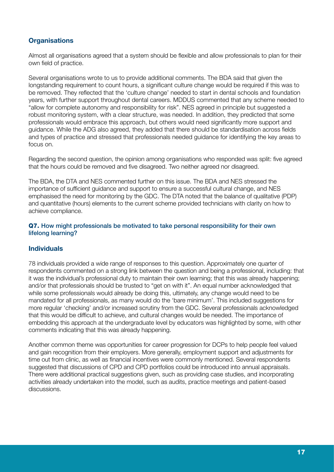# **Organisations**

Almost all organisations agreed that a system should be flexible and allow professionals to plan for their own field of practice.

Several organisations wrote to us to provide additional comments. The BDA said that given the longstanding requirement to count hours, a significant culture change would be required if this was to be removed. They reflected that the 'culture change' needed to start in dental schools and foundation years, with further support throughout dental careers. MDDUS commented that any scheme needed to "allow for complete autonomy and responsibility for risk". NES agreed in principle but suggested a robust monitoring system, with a clear structure, was needed. In addition, they predicted that some professionals would embrace this approach, but others would need significantly more support and guidance. While the ADG also agreed, they added that there should be standardisation across fields and types of practice and stressed that professionals needed guidance for identifying the key areas to focus on.

Regarding the second question, the opinion among organisations who responded was split: five agreed that the hours could be removed and five disagreed. Two neither agreed nor disagreed.

The BDA, the DTA and NES commented further on this issue. The BDA and NES stressed the importance of sufficient guidance and support to ensure a successful cultural change, and NES emphasised the need for monitoring by the GDC. The DTA noted that the balance of qualitative (PDP) and quantitative (hours) elements to the current scheme provided technicians with clarity on how to achieve compliance.

#### Q7. How might professionals be motivated to take personal responsibility for their own lifelong learning?

# **Individuals**

78 individuals provided a wide range of responses to this question. Approximately one quarter of respondents commented on a strong link between the question and being a professional, including: that it was the individual's professional duty to maintain their own learning; that this was already happening; and/or that professionals should be trusted to "get on with it". An equal number acknowledged that while some professionals would already be doing this, ultimately, any change would need to be mandated for all professionals, as many would do the 'bare minimum'. This included suggestions for more regular 'checking' and/or increased scrutiny from the GDC. Several professionals acknowledged that this would be difficult to achieve, and cultural changes would be needed. The importance of embedding this approach at the undergraduate level by educators was highlighted by some, with other comments indicating that this was already happening.

Another common theme was opportunities for career progression for DCPs to help people feel valued and gain recognition from their employers. More generally, employment support and adjustments for time out from clinic, as well as financial incentives were commonly mentioned. Several respondents suggested that discussions of CPD and CPD portfolios could be introduced into annual appraisals. There were additional practical suggestions given, such as providing case studies, and incorporating activities already undertaken into the model, such as audits, practice meetings and patient-based discussions.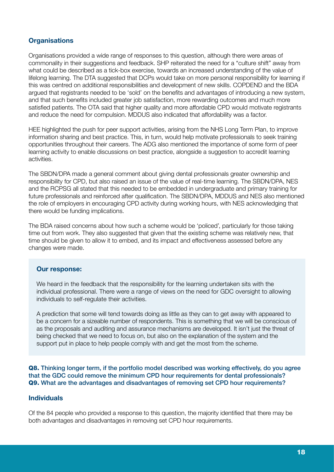# **Organisations**

Organisations provided a wide range of responses to this question, although there were areas of commonality in their suggestions and feedback. SHP reiterated the need for a "culture shift" away from what could be described as a tick-box exercise, towards an increased understanding of the value of lifelong learning. The DTA suggested that DCPs would take on more personal responsibility for learning if this was centred on additional responsibilities and development of new skills. COPDEND and the BDA argued that registrants needed to be 'sold' on the benefits and advantages of introducing a new system, and that such benefits included greater job satisfaction, more rewarding outcomes and much more satisfied patients. The OTA said that higher quality and more affordable CPD would motivate registrants and reduce the need for compulsion. MDDUS also indicated that affordability was a factor.

HEE highlighted the push for peer support activities, arising from the NHS Long Term Plan, to improve information sharing and best practice. This, in turn, would help motivate professionals to seek training opportunities throughout their careers. The ADG also mentioned the importance of some form of peer learning activity to enable discussions on best practice, alongside a suggestion to accredit learning activities.

The SBDN/DPA made a general comment about giving dental professionals greater ownership and responsibility for CPD, but also raised an issue of the value of real-time learning. The SBDN/DPA, NES and the RCPSG all stated that this needed to be embedded in undergraduate and primary training for future professionals and reinforced after qualification. The SBDN/DPA, MDDUS and NES also mentioned the role of employers in encouraging CPD activity during working hours, with NES acknowledging that there would be funding implications.

The BDA raised concerns about how such a scheme would be 'policed', particularly for those taking time out from work. They also suggested that given that the existing scheme was relatively new, that time should be given to allow it to embed, and its impact and effectiveness assessed before any changes were made.

#### Our response:

We heard in the feedback that the responsibility for the learning undertaken sits with the individual professional. There were a range of views on the need for GDC oversight to allowing individuals to self-regulate their activities.

A prediction that some will tend towards doing as little as they can to get away with appeared to be a concern for a sizeable number of respondents. This is something that we will be conscious of as the proposals and auditing and assurance mechanisms are developed. It isn't just the threat of being checked that we need to focus on, but also on the explanation of the system and the support put in place to help people comply with and get the most from the scheme.

Q8. Thinking longer term, if the portfolio model described was working effectively, do you agree that the GDC could remove the minimum CPD hour requirements for dental professionals? Q9. What are the advantages and disadvantages of removing set CPD hour requirements?

#### Individuals

Of the 84 people who provided a response to this question, the majority identified that there may be both advantages and disadvantages in removing set CPD hour requirements.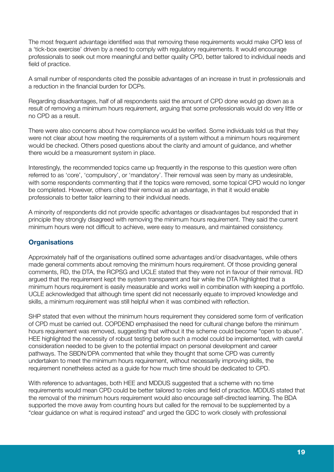The most frequent advantage identified was that removing these requirements would make CPD less of a 'tick-box exercise' driven by a need to comply with regulatory requirements. It would encourage professionals to seek out more meaningful and better quality CPD, better tailored to individual needs and field of practice.

A small number of respondents cited the possible advantages of an increase in trust in professionals and a reduction in the financial burden for DCPs.

Regarding disadvantages, half of all respondents said the amount of CPD done would go down as a result of removing a minimum hours requirement, arguing that some professionals would do very little or no CPD as a result.

There were also concerns about how compliance would be verified. Some individuals told us that they were not clear about how meeting the requirements of a system without a minimum hours requirement would be checked. Others posed questions about the clarity and amount of guidance, and whether there would be a measurement system in place.

Interestingly, the recommended topics came up frequently in the response to this question were often referred to as 'core', 'compulsory', or 'mandatory'. Their removal was seen by many as undesirable, with some respondents commenting that if the topics were removed, some topical CPD would no longer be completed. However, others cited their removal as an advantage, in that it would enable professionals to better tailor learning to their individual needs.

A minority of respondents did not provide specific advantages or disadvantages but responded that in principle they strongly disagreed with removing the minimum hours requirement. They said the current minimum hours were not difficult to achieve, were easy to measure, and maintained consistency.

# **Organisations**

Approximately half of the organisations outlined some advantages and/or disadvantages, while others made general comments about removing the minimum hours requirement. Of those providing general comments, RD, the DTA, the RCPSG and UCLE stated that they were not in favour of their removal. RD argued that the requirement kept the system transparent and fair while the DTA highlighted that a minimum hours requirement is easily measurable and works well in combination with keeping a portfolio. UCLE acknowledged that although time spent did not necessarily equate to improved knowledge and skills, a minimum requirement was still helpful when it was combined with reflection.

SHP stated that even without the minimum hours requirement they considered some form of verification of CPD must be carried out. COPDEND emphasised the need for cultural change before the minimum hours requirement was removed, suggesting that without it the scheme could become "open to abuse". HEE highlighted the necessity of robust testing before such a model could be implemented, with careful consideration needed to be given to the potential impact on personal development and career pathways. The SBDN/DPA commented that while they thought that some CPD was currently undertaken to meet the minimum hours requirement, without necessarily improving skills, the requirement nonetheless acted as a guide for how much time should be dedicated to CPD.

With reference to advantages, both HEE and MDDUS suggested that a scheme with no time requirements would mean CPD could be better tailored to roles and field of practice. MDDUS stated that the removal of the minimum hours requirement would also encourage self-directed learning. The BDA supported the move away from counting hours but called for the removal to be supplemented by a "clear guidance on what is required instead" and urged the GDC to work closely with professional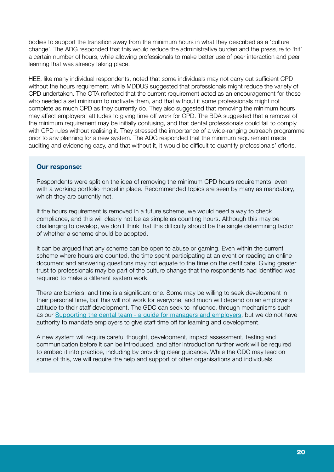bodies to support the transition away from the minimum hours in what they described as a 'culture change'. The ADG responded that this would reduce the administrative burden and the pressure to 'hit' a certain number of hours, while allowing professionals to make better use of peer interaction and peer learning that was already taking place.

HEE, like many individual respondents, noted that some individuals may not carry out sufficient CPD without the hours requirement, while MDDUS suggested that professionals might reduce the variety of CPD undertaken. The OTA reflected that the current requirement acted as an encouragement for those who needed a set minimum to motivate them, and that without it some professionals might not complete as much CPD as they currently do. They also suggested that removing the minimum hours may affect employers' attitudes to giving time off work for CPD. The BDA suggested that a removal of the minimum requirement may be initially confusing, and that dental professionals could fail to comply with CPD rules without realising it. They stressed the importance of a wide-ranging outreach programme prior to any planning for a new system. The ADG responded that the minimum requirement made auditing and evidencing easy, and that without it, it would be difficult to quantify professionals' efforts.

#### Our response:

Respondents were split on the idea of removing the minimum CPD hours requirements, even with a working portfolio model in place. Recommended topics are seen by many as mandatory, which they are currently not.

If the hours requirement is removed in a future scheme, we would need a way to check compliance, and this will clearly not be as simple as counting hours. Although this may be challenging to develop, we don't think that this difficulty should be the single determining factor of whether a scheme should be adopted.

It can be argued that any scheme can be open to abuse or gaming. Even within the current scheme where hours are counted, the time spent participating at an event or reading an online document and answering questions may not equate to the time on the certificate. Giving greater trust to professionals may be part of the culture change that the respondents had identified was required to make a different system work.

There are barriers, and time is a significant one. Some may be willing to seek development in their personal time, but this will not work for everyone, and much will depend on an employer's attitude to their staff development. The GDC can seek to influence, through mechanisms such as our Supporting the dental team - a guide for managers and employers, but we do not have authority to mandate employers to give staff time off for learning and development.

A new system will require careful thought, development, impact assessment, testing and communication before it can be introduced, and after introduction further work will be required to embed it into practice, including by providing clear guidance. While the GDC may lead on some of this, we will require the help and support of other organisations and individuals.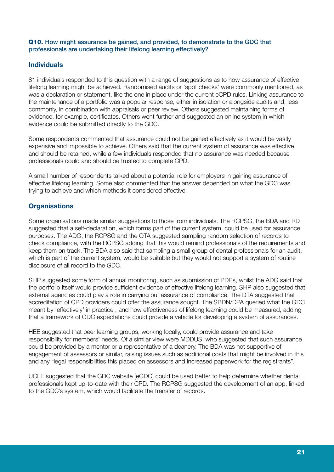#### Q10. How might assurance be gained, and provided, to demonstrate to the GDC that professionals are undertaking their lifelong learning effectively?

# **Individuals**

81 individuals responded to this question with a range of suggestions as to how assurance of effective lifelong learning might be achieved. Randomised audits or 'spot checks' were commonly mentioned, as was a declaration or statement, like the one in place under the current eCPD rules. Linking assurance to the maintenance of a portfolio was a popular response, either in isolation or alongside audits and, less commonly, in combination with appraisals or peer review. Others suggested maintaining forms of evidence, for example, certificates. Others went further and suggested an online system in which evidence could be submitted directly to the GDC.

Some respondents commented that assurance could not be gained effectively as it would be vastly expensive and impossible to achieve. Others said that the current system of assurance was effective and should be retained, while a few individuals responded that no assurance was needed because professionals could and should be trusted to complete CPD.

A small number of respondents talked about a potential role for employers in gaining assurance of effective lifelong learning. Some also commented that the answer depended on what the GDC was trying to achieve and which methods it considered effective.

# **Organisations**

Some organisations made similar suggestions to those from individuals. The RCPSG, the BDA and RD suggested that a self-declaration, which forms part of the current system, could be used for assurance purposes. The ADG, the RCPSG and the OTA suggested sampling random selection of records to check compliance, with the RCPSG adding that this would remind professionals of the requirements and keep them on track. The BDA also said that sampling a small group of dental professionals for an audit, which is part of the current system, would be suitable but they would not support a system of routine disclosure of all record to the GDC.

SHP suggested some form of annual monitoring, such as submission of PDPs, whilst the ADG said that the portfolio itself would provide sufficient evidence of effective lifelong learning. SHP also suggested that external agencies could play a role in carrying out assurance of compliance. The DTA suggested that accreditation of CPD providers could offer the assurance sought. The SBDN/DPA queried what the GDC meant by 'effectively' in practice , and how effectiveness of lifelong learning could be measured, adding that a framework of GDC expectations could provide a vehicle for developing a system of assurances.

HEE suggested that peer learning groups, working locally, could provide assurance and take responsibility for members' needs. Of a similar view were MDDUS, who suggested that such assurance could be provided by a mentor or a representative of a deanery. The BDA was not supportive of engagement of assessors or similar, raising issues such as additional costs that might be involved in this and any "legal responsibilities this placed on assessors and increased paperwork for the registrants".

UCLE suggested that the GDC website [eGDC] could be used better to help determine whether dental professionals kept up-to-date with their CPD. The RCPSG suggested the development of an app, linked to the GDC's system, which would facilitate the transfer of records.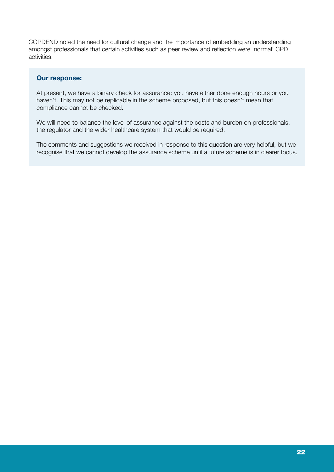COPDEND noted the need for cultural change and the importance of embedding an understanding amongst professionals that certain activities such as peer review and reflection were 'normal' CPD activities.

#### Our response:

At present, we have a binary check for assurance: you have either done enough hours or you haven't. This may not be replicable in the scheme proposed, but this doesn't mean that compliance cannot be checked.

We will need to balance the level of assurance against the costs and burden on professionals, the regulator and the wider healthcare system that would be required.

The comments and suggestions we received in response to this question are very helpful, but we recognise that we cannot develop the assurance scheme until a future scheme is in clearer focus.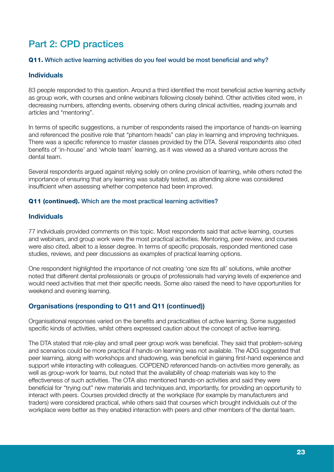# Part 2: CPD practices

#### Q11. Which active learning activities do you feel would be most beneficial and why?

#### Individuals

83 people responded to this question. Around a third identified the most beneficial active learning activity as group work, with courses and online webinars following closely behind. Other activities cited were, in decreasing numbers, attending events, observing others during clinical activities, reading journals and articles and "mentoring".

In terms of specific suggestions, a number of respondents raised the importance of hands-on learning and referenced the positive role that "phantom heads" can play in learning and improving techniques. There was a specific reference to master classes provided by the DTA. Several respondents also cited benefits of 'in-house' and 'whole team' learning, as it was viewed as a shared venture across the dental team.

Several respondents argued against relying solely on online provision of learning, while others noted the importance of ensuring that any learning was suitably tested, as attending alone was considered insufficient when assessing whether competence had been improved.

#### Q11 (continued). Which are the most practical learning activities?

#### Individuals

77 individuals provided comments on this topic. Most respondents said that active learning, courses and webinars, and group work were the most practical activities. Mentoring, peer review, and courses were also cited, albeit to a lesser degree. In terms of specific proposals, responded mentioned case studies, reviews, and peer discussions as examples of practical learning options.

One respondent highlighted the importance of not creating 'one size fits all' solutions, while another noted that different dental professionals or groups of professionals had varying levels of experience and would need activities that met their specific needs. Some also raised the need to have opportunities for weekend and evening learning.

# Organisations (responding to Q11 and Q11 (continued))

Organisational responses varied on the benefits and practicalities of active learning. Some suggested specific kinds of activities, whilst others expressed caution about the concept of active learning.

The DTA stated that role-play and small peer group work was beneficial. They said that problem-solving and scenarios could be more practical if hands-on learning was not available. The ADG suggested that peer learning, along with workshops and shadowing, was beneficial in gaining first-hand experience and support while interacting with colleagues. COPDEND referenced hands-on activities more generally, as well as group-work for teams, but noted that the availability of cheap materials was key to the effectiveness of such activities. The OTA also mentioned hands-on activities and said they were beneficial for "trying out" new materials and techniques and, importantly, for providing an opportunity to interact with peers. Courses provided directly at the workplace (for example by manufacturers and traders) were considered practical, while others said that courses which brought individuals out of the workplace were better as they enabled interaction with peers and other members of the dental team.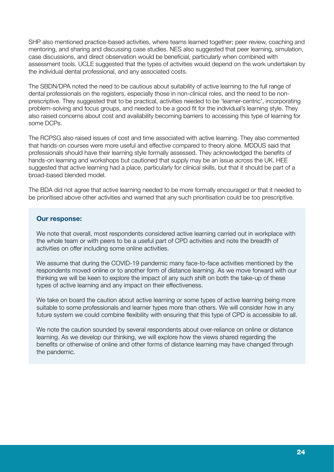SHP also mentioned practice-based activities, where teams learned together; peer review, coaching and mentoring, and sharing and discussing case studies. NES also suggested that peer learning, simulation, case discussions, and direct observation would be beneficial, particularly when combined with assessment tools. UCLE suggested that the types of activities would depend on the work undertaken by the individual dental professional, and any associated costs.

The SBDN/DPA noted the need to be cautious about suitability of active learning to the full range of dental professionals on the registers, especially those in non-clinical roles, and the need to be nonprescriptive. They suggested that to be practical, activities needed to be 'learner-centric', incorporating problem-solving and focus groups, and needed to be a good fit for the individual's learning style. They also raised concerns about cost and availability becoming barriers to accessing this type of learning for some DCPs.

The RCPSG also raised issues of cost and time associated with active learning. They also commented that hands-on courses were more useful and effective compared to theory alone. MDDUS said that professionals should have their learning style formally assessed. They acknowledged the benefits of hands-on learning and workshops but cautioned that supply may be an issue across the UK. HEE suggested that active learning had a place, particularly for clinical skills, but that it should be part of a broad-based blended model.

The BDA did not agree that active learning needed to be more formally encouraged or that it needed to be prioritised above other activities and warned that any such prioritisation could be too prescriptive.

#### Our response:

We note that overall, most respondents considered active learning carried out in workplace with the whole team or with peers to be a useful part of CPD activities and note the breadth of activities on offer including some online activities.

We assume that during the COVID-19 pandemic many face-to-face activities mentioned by the respondents moved online or to another form of distance learning. As we move forward with our thinking we will be keen to explore the impact of any such shift on both the take-up of these types of active learning and any impact on their effectiveness.

We take on board the caution about active learning or some types of active learning being more suitable to some professionals and learner types more than others. We will consider how in any future system we could combine flexibility with ensuring that this type of CPD is accessible to all.

We note the caution sounded by several respondents about over-reliance on online or distance learning. As we develop our thinking, we will explore how the views shared regarding the benefits or otherwise of online and other forms of distance learning may have changed through the pandemic.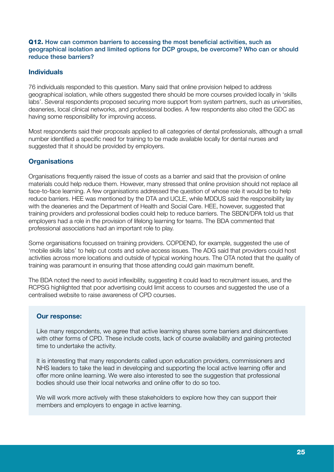#### Q12. How can common barriers to accessing the most beneficial activities, such as geographical isolation and limited options for DCP groups, be overcome? Who can or should reduce these barriers?

# Individuals

76 individuals responded to this question. Many said that online provision helped to address geographical isolation, while others suggested there should be more courses provided locally in 'skills labs'. Several respondents proposed securing more support from system partners, such as universities, deaneries, local clinical networks, and professional bodies. A few respondents also cited the GDC as having some responsibility for improving access.

Most respondents said their proposals applied to all categories of dental professionals, although a small number identified a specific need for training to be made available locally for dental nurses and suggested that it should be provided by employers.

# **Organisations**

Organisations frequently raised the issue of costs as a barrier and said that the provision of online materials could help reduce them. However, many stressed that online provision should not replace all face-to-face learning. A few organisations addressed the question of whose role it would be to help reduce barriers. HEE was mentioned by the DTA and UCLE, while MDDUS said the responsibility lay with the deaneries and the Department of Health and Social Care. HEE, however, suggested that training providers and professional bodies could help to reduce barriers. The SBDN/DPA told us that employers had a role in the provision of lifelong learning for teams. The BDA commented that professional associations had an important role to play.

Some organisations focussed on training providers. COPDEND, for example, suggested the use of 'mobile skills labs' to help cut costs and solve access issues. The ADG said that providers could host activities across more locations and outside of typical working hours. The OTA noted that the quality of training was paramount in ensuring that those attending could gain maximum benefit.

The BDA noted the need to avoid inflexibility, suggesting it could lead to recruitment issues, and the RCPSG highlighted that poor advertising could limit access to courses and suggested the use of a centralised website to raise awareness of CPD courses.

# Our response:

Like many respondents, we agree that active learning shares some barriers and disincentives with other forms of CPD. These include costs, lack of course availability and gaining protected time to undertake the activity.

It is interesting that many respondents called upon education providers, commissioners and NHS leaders to take the lead in developing and supporting the local active learning offer and offer more online learning. We were also interested to see the suggestion that professional bodies should use their local networks and online offer to do so too.

We will work more actively with these stakeholders to explore how they can support their members and employers to engage in active learning.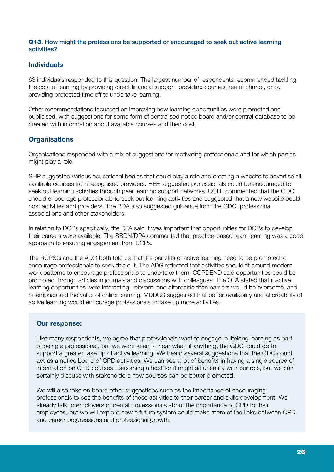#### Q13. How might the professions be supported or encouraged to seek out active learning activities?

# Individuals

63 individuals responded to this question. The largest number of respondents recommended tackling the cost of learning by providing direct financial support, providing courses free of charge, or by providing protected time off to undertake learning.

Other recommendations focussed on improving how learning opportunities were promoted and publicised, with suggestions for some form of centralised notice board and/or central database to be created with information about available courses and their cost.

# **Organisations**

Organisations responded with a mix of suggestions for motivating professionals and for which parties might play a role.

SHP suggested various educational bodies that could play a role and creating a website to advertise all available courses from recognised providers. HEE suggested professionals could be encouraged to seek out learning activities through peer learning support networks. UCLE commented that the GDC should encourage professionals to seek out learning activities and suggested that a new website could host activities and providers. The BDA also suggested guidance from the GDC, professional associations and other stakeholders.

In relation to DCPs specifically, the DTA said it was important that opportunities for DCPs to develop their careers were available. The SBDN/DPA commented that practice-based team learning was a good approach to ensuring engagement from DCPs.

The RCPSG and the ADG both told us that the benefits of active learning need to be promoted to encourage professionals to seek this out. The ADG reflected that activities should fit around modern work patterns to encourage professionals to undertake them. COPDEND said opportunities could be promoted through articles in journals and discussions with colleagues. The OTA stated that if active learning opportunities were interesting, relevant, and affordable then barriers would be overcome, and re-emphasised the value of online learning. MDDUS suggested that better availability and affordability of active learning would encourage professionals to take up more activities.

# Our response:

Like many respondents, we agree that professionals want to engage in lifelong learning as part of being a professional, but we were keen to hear what, if anything, the GDC could do to support a greater take up of active learning. We heard several suggestions that the GDC could act as a notice board of CPD activities. We can see a lot of benefits in having a single source of information on CPD courses. Becoming a host for it might sit uneasily with our role, but we can certainly discuss with stakeholders how courses can be better promoted.

We will also take on board other suggestions such as the importance of encouraging professionals to see the benefits of these activities to their career and skills development. We already talk to employers of dental professionals about the importance of CPD to their employees, but we will explore how a future system could make more of the links between CPD and career progressions and professional growth.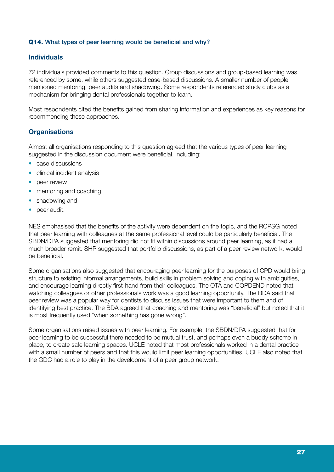#### Q14. What types of peer learning would be beneficial and why?

#### Individuals

72 individuals provided comments to this question. Group discussions and group-based learning was referenced by some, while others suggested case-based discussions. A smaller number of people mentioned mentoring, peer audits and shadowing. Some respondents referenced study clubs as a mechanism for bringing dental professionals together to learn.

Most respondents cited the benefits gained from sharing information and experiences as key reasons for recommending these approaches.

# **Organisations**

Almost all organisations responding to this question agreed that the various types of peer learning suggested in the discussion document were beneficial, including:

- case discussions
- clinical incident analysis
- peer review
- mentoring and coaching
- shadowing and
- peer audit.

NES emphasised that the benefits of the activity were dependent on the topic, and the RCPSG noted that peer learning with colleagues at the same professional level could be particularly beneficial. The SBDN/DPA suggested that mentoring did not fit within discussions around peer learning, as it had a much broader remit. SHP suggested that portfolio discussions, as part of a peer review network, would be beneficial.

Some organisations also suggested that encouraging peer learning for the purposes of CPD would bring structure to existing informal arrangements, build skills in problem solving and coping with ambiguities, and encourage learning directly first-hand from their colleagues. The OTA and COPDEND noted that watching colleagues or other professionals work was a good learning opportunity. The BDA said that peer review was a popular way for dentists to discuss issues that were important to them and of identifying best practice. The BDA agreed that coaching and mentoring was "beneficial" but noted that it is most frequently used "when something has gone wrong".

Some organisations raised issues with peer learning. For example, the SBDN/DPA suggested that for peer learning to be successful there needed to be mutual trust, and perhaps even a buddy scheme in place, to create safe learning spaces. UCLE noted that most professionals worked in a dental practice with a small number of peers and that this would limit peer learning opportunities. UCLE also noted that the GDC had a role to play in the development of a peer group network.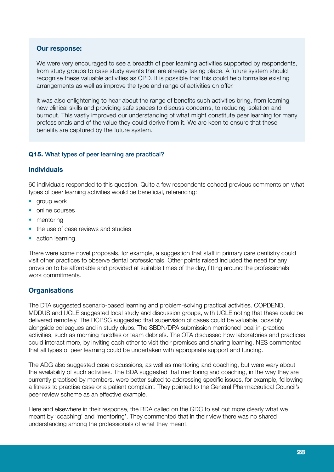#### Our response:

We were very encouraged to see a breadth of peer learning activities supported by respondents, from study groups to case study events that are already taking place. A future system should recognise these valuable activities as CPD. It is possible that this could help formalise existing arrangements as well as improve the type and range of activities on offer.

It was also enlightening to hear about the range of benefits such activities bring, from learning new clinical skills and providing safe spaces to discuss concerns, to reducing isolation and burnout. This vastly improved our understanding of what might constitute peer learning for many professionals and of the value they could derive from it. We are keen to ensure that these benefits are captured by the future system.

#### Q15. What types of peer learning are practical?

# Individuals

60 individuals responded to this question. Quite a few respondents echoed previous comments on what types of peer learning activities would be beneficial, referencing:

- group work
- online courses
- mentoring
- the use of case reviews and studies
- action learning.

There were some novel proposals, for example, a suggestion that staff in primary care dentistry could visit other practices to observe dental professionals. Other points raised included the need for any provision to be affordable and provided at suitable times of the day, fitting around the professionals' work commitments.

# **Organisations**

The DTA suggested scenario-based learning and problem-solving practical activities. COPDEND, MDDUS and UCLE suggested local study and discussion groups, with UCLE noting that these could be delivered remotely. The RCPSG suggested that supervision of cases could be valuable, possibly alongside colleagues and in study clubs. The SBDN/DPA submission mentioned local in-practice activities, such as morning huddles or team debriefs. The OTA discussed how laboratories and practices could interact more, by inviting each other to visit their premises and sharing learning. NES commented that all types of peer learning could be undertaken with appropriate support and funding.

The ADG also suggested case discussions, as well as mentoring and coaching, but were wary about the availability of such activities. The BDA suggested that mentoring and coaching, in the way they are currently practised by members, were better suited to addressing specific issues, for example, following a fitness to practise case or a patient complaint. They pointed to the General Pharmaceutical Council's peer review scheme as an effective example.

Here and elsewhere in their response, the BDA called on the GDC to set out more clearly what we meant by 'coaching' and 'mentoring'. They commented that in their view there was no shared understanding among the professionals of what they meant.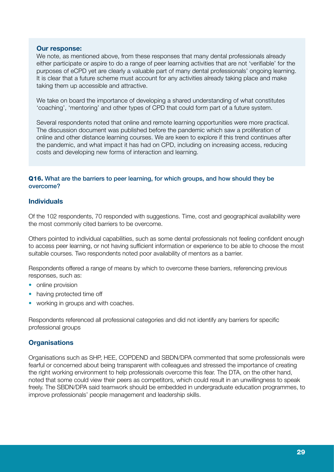#### Our response:

We note, as mentioned above, from these responses that many dental professionals already either participate or aspire to do a range of peer learning activities that are not 'verifiable' for the purposes of eCPD yet are clearly a valuable part of many dental professionals' ongoing learning. It is clear that a future scheme must account for any activities already taking place and make taking them up accessible and attractive.

We take on board the importance of developing a shared understanding of what constitutes 'coaching', 'mentoring' and other types of CPD that could form part of a future system.

Several respondents noted that online and remote learning opportunities were more practical. The discussion document was published before the pandemic which saw a proliferation of online and other distance learning courses. We are keen to explore if this trend continues after the pandemic, and what impact it has had on CPD, including on increasing access, reducing costs and developing new forms of interaction and learning.

#### Q16. What are the barriers to peer learning, for which groups, and how should they be overcome?

#### Individuals

Of the 102 respondents, 70 responded with suggestions. Time, cost and geographical availability were the most commonly cited barriers to be overcome.

Others pointed to individual capabilities, such as some dental professionals not feeling confident enough to access peer learning, or not having sufficient information or experience to be able to choose the most suitable courses. Two respondents noted poor availability of mentors as a barrier.

Respondents offered a range of means by which to overcome these barriers, referencing previous responses, such as:

- online provision
- having protected time off
- working in groups and with coaches.

Respondents referenced all professional categories and did not identify any barriers for specific professional groups

# **Organisations**

Organisations such as SHP, HEE, COPDEND and SBDN/DPA commented that some professionals were fearful or concerned about being transparent with colleagues and stressed the importance of creating the right working environment to help professionals overcome this fear. The DTA, on the other hand, noted that some could view their peers as competitors, which could result in an unwillingness to speak freely. The SBDN/DPA said teamwork should be embedded in undergraduate education programmes, to improve professionals' people management and leadership skills.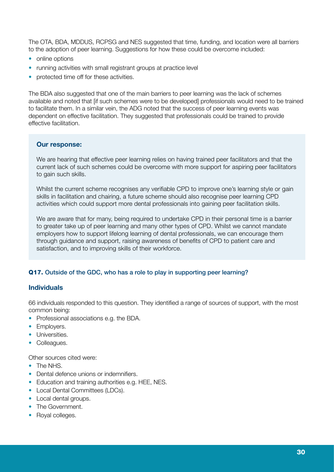The OTA, BDA, MDDUS, RCPSG and NES suggested that time, funding, and location were all barriers to the adoption of peer learning. Suggestions for how these could be overcome included:

- online options
- running activities with small registrant groups at practice level
- protected time off for these activities.

The BDA also suggested that one of the main barriers to peer learning was the lack of schemes available and noted that [if such schemes were to be developed] professionals would need to be trained to facilitate them. In a similar vein, the ADG noted that the success of peer learning events was dependent on effective facilitation. They suggested that professionals could be trained to provide effective facilitation.

# Our response:

We are hearing that effective peer learning relies on having trained peer facilitators and that the current lack of such schemes could be overcome with more support for aspiring peer facilitators to gain such skills.

Whilst the current scheme recognises any verifiable CPD to improve one's learning style or gain skills in facilitation and chairing, a future scheme should also recognise peer learning CPD activities which could support more dental professionals into gaining peer facilitation skills.

We are aware that for many, being required to undertake CPD in their personal time is a barrier to greater take up of peer learning and many other types of CPD. Whilst we cannot mandate employers how to support lifelong learning of dental professionals, we can encourage them through guidance and support, raising awareness of benefits of CPD to patient care and satisfaction, and to improving skills of their workforce.

# Q17. Outside of the GDC, who has a role to play in supporting peer learning?

# Individuals

66 individuals responded to this question. They identified a range of sources of support, with the most common being:

- Professional associations e.g. the BDA.
- Employers.
- Universities.
- Colleagues.

Other sources cited were:

- The NHS.
- Dental defence unions or indemnifiers.
- Education and training authorities e.g. HEE, NES.
- Local Dental Committees (LDCs).
- Local dental groups.
- The Government.
- Royal colleges.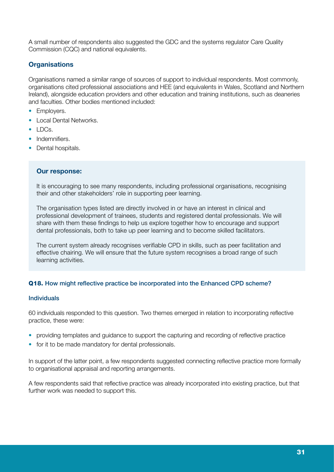A small number of respondents also suggested the GDC and the systems regulator Care Quality Commission (CQC) and national equivalents.

# **Organisations**

Organisations named a similar range of sources of support to individual respondents. Most commonly, organisations cited professional associations and HEE (and equivalents in Wales, Scotland and Northern Ireland), alongside education providers and other education and training institutions, such as deaneries and faculties. Other bodies mentioned included:

- Employers.
- Local Dental Networks.
- $\bullet$  LDCs.
- Indemnifiers.
- Dental hospitals.

#### Our response:

It is encouraging to see many respondents, including professional organisations, recognising their and other stakeholders' role in supporting peer learning.

The organisation types listed are directly involved in or have an interest in clinical and professional development of trainees, students and registered dental professionals. We will share with them these findings to help us explore together how to encourage and support dental professionals, both to take up peer learning and to become skilled facilitators.

The current system already recognises verifiable CPD in skills, such as peer facilitation and effective chairing. We will ensure that the future system recognises a broad range of such learning activities.

# Q18. How might reflective practice be incorporated into the Enhanced CPD scheme?

#### Individuals

60 individuals responded to this question. Two themes emerged in relation to incorporating reflective practice, these were:

- providing templates and guidance to support the capturing and recording of reflective practice
- for it to be made mandatory for dental professionals.

In support of the latter point, a few respondents suggested connecting reflective practice more formally to organisational appraisal and reporting arrangements.

A few respondents said that reflective practice was already incorporated into existing practice, but that further work was needed to support this.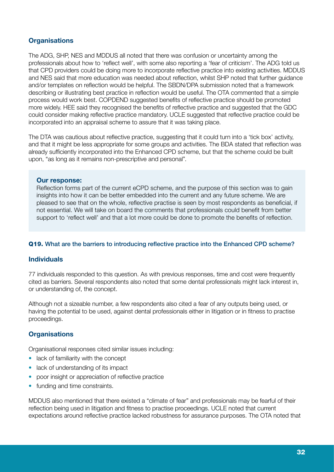# **Organisations**

The ADG, SHP, NES and MDDUS all noted that there was confusion or uncertainty among the professionals about how to 'reflect well', with some also reporting a 'fear of criticism'. The ADG told us that CPD providers could be doing more to incorporate reflective practice into existing activities. MDDUS and NES said that more education was needed about reflection, whilst SHP noted that further guidance and/or templates on reflection would be helpful. The SBDN/DPA submission noted that a framework describing or illustrating best practice in reflection would be useful. The OTA commented that a simple process would work best. COPDEND suggested benefits of reflective practice should be promoted more widely. HEE said they recognised the benefits of reflective practice and suggested that the GDC could consider making reflective practice mandatory. UCLE suggested that reflective practice could be incorporated into an appraisal scheme to assure that it was taking place.

The DTA was cautious about reflective practice, suggesting that it could turn into a 'tick box' activity, and that it might be less appropriate for some groups and activities. The BDA stated that reflection was already sufficiently incorporated into the Enhanced CPD scheme, but that the scheme could be built upon, "as long as it remains non-prescriptive and personal".

#### Our response:

Reflection forms part of the current eCPD scheme, and the purpose of this section was to gain insights into how it can be better embedded into the current and any future scheme. We are pleased to see that on the whole, reflective practise is seen by most respondents as beneficial, if not essential. We will take on board the comments that professionals could benefit from better support to 'reflect well' and that a lot more could be done to promote the benefits of reflection.

#### Q19. What are the barriers to introducing reflective practice into the Enhanced CPD scheme?

#### Individuals

77 individuals responded to this question. As with previous responses, time and cost were frequently cited as barriers. Several respondents also noted that some dental professionals might lack interest in, or understanding of, the concept.

Although not a sizeable number, a few respondents also cited a fear of any outputs being used, or having the potential to be used, against dental professionals either in litigation or in fitness to practise proceedings.

# **Organisations**

Organisational responses cited similar issues including:

- lack of familiarity with the concept
- lack of understanding of its impact
- poor insight or appreciation of reflective practice
- funding and time constraints.

MDDUS also mentioned that there existed a "climate of fear" and professionals may be fearful of their reflection being used in litigation and fitness to practise proceedings. UCLE noted that current expectations around reflective practice lacked robustness for assurance purposes. The OTA noted that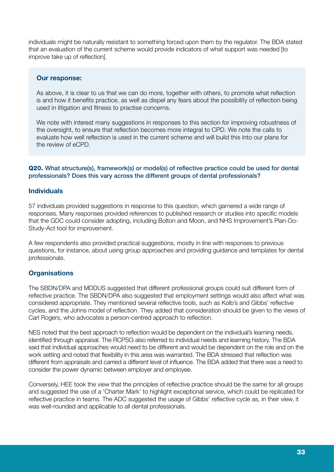individuals might be naturally resistant to something forced upon them by the regulator. The BDA stated that an evaluation of the current scheme would provide indicators of what support was needed [to improve take up of reflection].

#### Our response:

As above, it is clear to us that we can do more, together with others, to promote what reflection is and how it benefits practice, as well as dispel any fears about the possibility of reflection being used in litigation and fitness to practise concerns.

We note with interest many suggestions in responses to this section for improving robustness of the oversight, to ensure that reflection becomes more integral to CPD. We note the calls to evaluate how well reflection is used in the current scheme and will build this into our plans for the review of eCPD.

#### Q20. What structure(s), framework(s) or model(s) of reflective practice could be used for dental professionals? Does this vary across the different groups of dental professionals?

# Individuals

57 individuals provided suggestions in response to this question, which garnered a wide range of responses. Many responses provided references to published research or studies into specific models that the GDC could consider adopting, including Bolton and Moon, and NHS Improvement's Plan-Do-Study-Act tool for improvement.

A few respondents also provided practical suggestions, mostly in line with responses to previous questions, for instance, about using group approaches and providing guidance and templates for dental professionals.

# **Organisations**

The SBDN/DPA and MDDUS suggested that different professional groups could suit different form of reflective practice. The SBDN/DPA also suggested that employment settings would also affect what was considered appropriate. They mentioned several reflective tools, such as Kolb's and Gibbs' reflective cycles, and the Johns model of reflection. They added that consideration should be given to the views of Carl Rogers, who advocates a person-centred approach to reflection.

NES noted that the best approach to reflection would be dependent on the individual's learning needs, identified through appraisal. The RCPSG also referred to individual needs and learning history. The BDA said that individual approaches would need to be different and would be dependent on the role and on the work setting and noted that flexibility in this area was warranted. The BDA stressed that reflection was different from appraisals and carried a different level of influence. The BDA added that there was a need to consider the power dynamic between employer and employee.

Conversely, HEE took the view that the principles of reflective practice should be the same for all groups and suggested the use of a 'Charter Mark' to highlight exceptional service, which could be replicated for reflective practice in teams. The ADC suggested the usage of Gibbs' reflective cycle as, in their view, it was well-rounded and applicable to all dental professionals.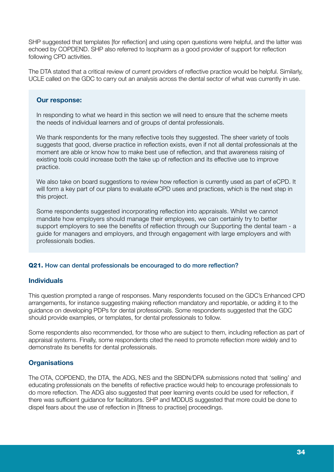SHP suggested that templates [for reflection] and using open questions were helpful, and the latter was echoed by COPDEND. SHP also referred to Isopharm as a good provider of support for reflection following CPD activities.

The DTA stated that a critical review of current providers of reflective practice would be helpful. Similarly, UCLE called on the GDC to carry out an analysis across the dental sector of what was currently in use.

#### Our response:

In responding to what we heard in this section we will need to ensure that the scheme meets the needs of individual learners and of groups of dental professionals.

We thank respondents for the many reflective tools they suggested. The sheer variety of tools suggests that good, diverse practice in reflection exists, even if not all dental professionals at the moment are able or know how to make best use of reflection, and that awareness raising of existing tools could increase both the take up of reflection and its effective use to improve practice.

We also take on board suggestions to review how reflection is currently used as part of eCPD. It will form a key part of our plans to evaluate eCPD uses and practices, which is the next step in this project.

Some respondents suggested incorporating reflection into appraisals. Whilst we cannot mandate how employers should manage their employees, we can certainly try to better support employers to see the benefits of reflection through our Supporting the dental team - a guide for managers and employers, and through engagement with large employers and with professionals bodies.

#### Q21. How can dental professionals be encouraged to do more reflection?

# Individuals

This question prompted a range of responses. Many respondents focused on the GDC's Enhanced CPD arrangements, for instance suggesting making reflection mandatory and reportable, or adding it to the guidance on developing PDPs for dental professionals. Some respondents suggested that the GDC should provide examples, or templates, for dental professionals to follow.

Some respondents also recommended, for those who are subject to them, including reflection as part of appraisal systems. Finally, some respondents cited the need to promote reflection more widely and to demonstrate its benefits for dental professionals.

# **Organisations**

The OTA, COPDEND, the DTA, the ADG, NES and the SBDN/DPA submissions noted that 'selling' and educating professionals on the benefits of reflective practice would help to encourage professionals to do more reflection. The ADG also suggested that peer learning events could be used for reflection, if there was sufficient guidance for facilitators. SHP and MDDUS suggested that more could be done to dispel fears about the use of reflection in [fitness to practise] proceedings.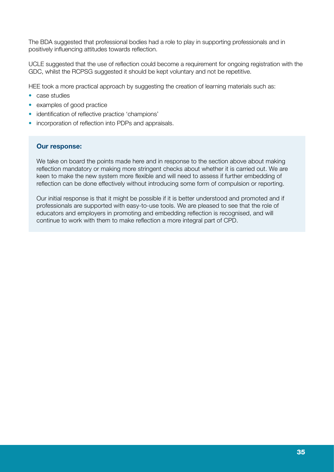The BDA suggested that professional bodies had a role to play in supporting professionals and in positively influencing attitudes towards reflection.

UCLE suggested that the use of reflection could become a requirement for ongoing registration with the GDC, whilst the RCPSG suggested it should be kept voluntary and not be repetitive.

HEE took a more practical approach by suggesting the creation of learning materials such as:

- case studies
- examples of good practice
- identification of reflective practice 'champions'
- incorporation of reflection into PDPs and appraisals.

#### Our response:

We take on board the points made here and in response to the section above about making reflection mandatory or making more stringent checks about whether it is carried out. We are keen to make the new system more flexible and will need to assess if further embedding of reflection can be done effectively without introducing some form of compulsion or reporting.

Our initial response is that it might be possible if it is better understood and promoted and if professionals are supported with easy-to-use tools. We are pleased to see that the role of educators and employers in promoting and embedding reflection is recognised, and will continue to work with them to make reflection a more integral part of CPD.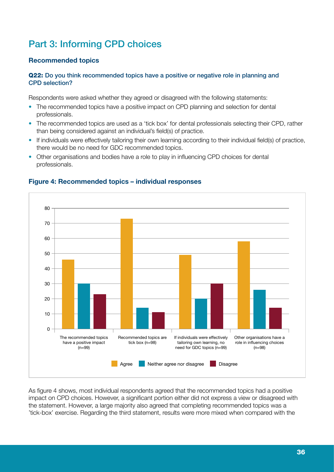# Part 3: Informing CPD choices

# Recommended topics

#### Q22: Do you think recommended topics have a positive or negative role in planning and CPD selection?

Respondents were asked whether they agreed or disagreed with the following statements:

- The recommended topics have a positive impact on CPD planning and selection for dental professionals.
- The recommended topics are used as a 'tick box' for dental professionals selecting their CPD, rather than being considered against an individual's field(s) of practice.
- If individuals were effectively tailoring their own learning according to their individual field(s) of practice, there would be no need for GDC recommended topics.
- Other organisations and bodies have a role to play in influencing CPD choices for dental professionals.



# Figure 4: Recommended topics – individual responses

As figure 4 shows, most individual respondents agreed that the recommended topics had a positive impact on CPD choices. However, a significant portion either did not express a view or disagreed with the statement. However, a large majority also agreed that completing recommended topics was a 'tick-box' exercise. Regarding the third statement, results were more mixed when compared with the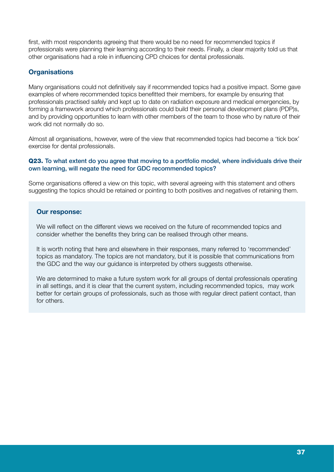first, with most respondents agreeing that there would be no need for recommended topics if professionals were planning their learning according to their needs. Finally, a clear majority told us that other organisations had a role in influencing CPD choices for dental professionals.

# **Organisations**

Many organisations could not definitively say if recommended topics had a positive impact. Some gave examples of where recommended topics benefitted their members, for example by ensuring that professionals practised safely and kept up to date on radiation exposure and medical emergencies, by forming a framework around which professionals could build their personal development plans (PDP)s, and by providing opportunities to learn with other members of the team to those who by nature of their work did not normally do so.

Almost all organisations, however, were of the view that recommended topics had become a 'tick box' exercise for dental professionals.

#### Q23. To what extent do you agree that moving to a portfolio model, where individuals drive their own learning, will negate the need for GDC recommended topics?

Some organisations offered a view on this topic, with several agreeing with this statement and others suggesting the topics should be retained or pointing to both positives and negatives of retaining them.

#### Our response:

We will reflect on the different views we received on the future of recommended topics and consider whether the benefits they bring can be realised through other means.

It is worth noting that here and elsewhere in their responses, many referred to 'recommended' topics as mandatory. The topics are not mandatory, but it is possible that communications from the GDC and the way our guidance is interpreted by others suggests otherwise.

We are determined to make a future system work for all groups of dental professionals operating in all settings, and it is clear that the current system, including recommended topics, may work better for certain groups of professionals, such as those with regular direct patient contact, than for others.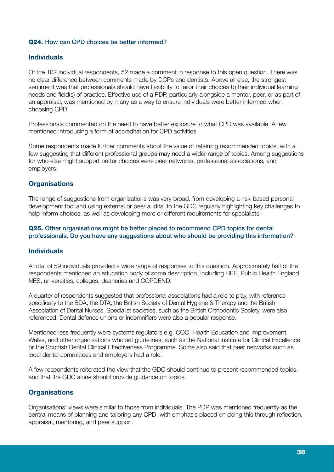#### Q24. How can CPD choices be better informed?

#### Individuals

Of the 102 individual respondents, 52 made a comment in response to this open question. There was no clear difference between comments made by DCPs and dentists. Above all else, the strongest sentiment was that professionals should have flexibility to tailor their choices to their individual learning needs and field(s) of practice. Effective use of a PDP, particularly alongside a mentor, peer, or as part of an appraisal, was mentioned by many as a way to ensure individuals were better informed when choosing CPD.

Professionals commented on the need to have better exposure to what CPD was available. A few mentioned introducing a form of accreditation for CPD activities.

Some respondents made further comments about the value of retaining recommended topics, with a few suggesting that different professional groups may need a wider range of topics. Among suggestions for who else might support better choices were peer networks, professional associations, and employers.

# **Organisations**

The range of suggestions from organisations was very broad, from developing a risk-based personal development tool and using external or peer audits, to the GDC regularly highlighting key challenges to help inform choices, as well as developing more or different requirements for specialists.

#### Q25. Other organisations might be better placed to recommend CPD topics for dental professionals. Do you have any suggestions about who should be providing this information?

#### Individuals

A total of 59 individuals provided a wide range of responses to this question. Approximately half of the respondents mentioned an education body of some description, including HEE, Public Health England, NES, universities, colleges, deaneries and COPDEND.

A quarter of respondents suggested that professional associations had a role to play, with reference specifically to the BDA, the DTA, the British Society of Dental Hygiene & Therapy and the British Association of Dental Nurses. Specialist societies, such as the British Orthodontic Society, were also referenced. Dental defence unions or indemnifiers were also a popular response.

Mentioned less frequently were systems regulators e.g. CQC, Health Education and Improvement Wales, and other organisations who set guidelines, such as the National Institute for Clinical Excellence or the Scottish Dental Clinical Effectiveness Programme. Some also said that peer networks such as local dental committees and employers had a role.

A few respondents reiterated the view that the GDC should continue to present recommended topics, and that the GDC alone should provide guidance on topics.

# **Organisations**

Organisations' views were similar to those from individuals. The PDP was mentioned frequently as the central means of planning and tailoring any CPD, with emphasis placed on doing this through reflection, appraisal, mentoring, and peer support.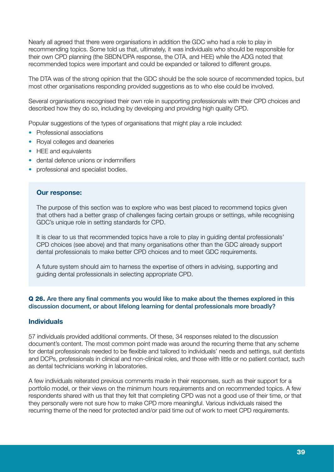Nearly all agreed that there were organisations in addition the GDC who had a role to play in recommending topics. Some told us that, ultimately, it was individuals who should be responsible for their own CPD planning (the SBDN/DPA response, the OTA, and HEE) while the ADG noted that recommended topics were important and could be expanded or tailored to different groups.

The DTA was of the strong opinion that the GDC should be the sole source of recommended topics, but most other organisations responding provided suggestions as to who else could be involved.

Several organisations recognised their own role in supporting professionals with their CPD choices and described how they do so, including by developing and providing high quality CPD.

Popular suggestions of the types of organisations that might play a role included:

- Professional associations
- Royal colleges and deaneries
- HEE and equivalents
- dental defence unions or indemnifiers
- professional and specialist bodies.

#### Our response:

The purpose of this section was to explore who was best placed to recommend topics given that others had a better grasp of challenges facing certain groups or settings, while recognising GDC's unique role in setting standards for CPD.

It is clear to us that recommended topics have a role to play in guiding dental professionals' CPD choices (see above) and that many organisations other than the GDC already support dental professionals to make better CPD choices and to meet GDC requirements.

A future system should aim to harness the expertise of others in advising, supporting and guiding dental professionals in selecting appropriate CPD.

#### Q 26. Are there any final comments you would like to make about the themes explored in this discussion document, or about lifelong learning for dental professionals more broadly?

#### Individuals

57 individuals provided additional comments. Of these, 34 responses related to the discussion document's content. The most common point made was around the recurring theme that any scheme for dental professionals needed to be flexible and tailored to individuals' needs and settings, suit dentists and DCPs, professionals in clinical and non-clinical roles, and those with little or no patient contact, such as dental technicians working in laboratories.

A few individuals reiterated previous comments made in their responses, such as their support for a portfolio model, or their views on the minimum hours requirements and on recommended topics. A few respondents shared with us that they felt that completing CPD was not a good use of their time, or that they personally were not sure how to make CPD more meaningful. Various individuals raised the recurring theme of the need for protected and/or paid time out of work to meet CPD requirements.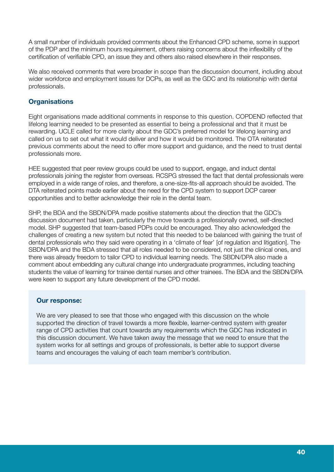A small number of individuals provided comments about the Enhanced CPD scheme, some in support of the PDP and the minimum hours requirement, others raising concerns about the inflexibility of the certification of verifiable CPD, an issue they and others also raised elsewhere in their responses.

We also received comments that were broader in scope than the discussion document, including about wider workforce and employment issues for DCPs, as well as the GDC and its relationship with dental professionals.

# **Organisations**

Eight organisations made additional comments in response to this question. COPDEND reflected that lifelong learning needed to be presented as essential to being a professional and that it must be rewarding. UCLE called for more clarity about the GDC's preferred model for lifelong learning and called on us to set out what it would deliver and how it would be monitored. The OTA reiterated previous comments about the need to offer more support and guidance, and the need to trust dental professionals more.

HEE suggested that peer review groups could be used to support, engage, and induct dental professionals joining the register from overseas. RCSPG stressed the fact that dental professionals were employed in a wide range of roles, and therefore, a one-size-fits-all approach should be avoided. The DTA reiterated points made earlier about the need for the CPD system to support DCP career opportunities and to better acknowledge their role in the dental team.

SHP, the BDA and the SBDN/DPA made positive statements about the direction that the GDC's discussion document had taken, particularly the move towards a professionally owned, self-directed model. SHP suggested that team-based PDPs could be encouraged. They also acknowledged the challenges of creating a new system but noted that this needed to be balanced with gaining the trust of dental professionals who they said were operating in a 'climate of fear' [of regulation and litigation]. The SBDN/DPA and the BDA stressed that all roles needed to be considered, not just the clinical ones, and there was already freedom to tailor CPD to individual learning needs. The SBDN/DPA also made a comment about embedding any cultural change into undergraduate programmes, including teaching students the value of learning for trainee dental nurses and other trainees. The BDA and the SBDN/DPA were keen to support any future development of the CPD model.

# Our response:

We are very pleased to see that those who engaged with this discussion on the whole supported the direction of travel towards a more flexible, learner-centred system with greater range of CPD activities that count towards any requirements which the GDC has indicated in this discussion document. We have taken away the message that we need to ensure that the system works for all settings and groups of professionals, is better able to support diverse teams and encourages the valuing of each team member's contribution.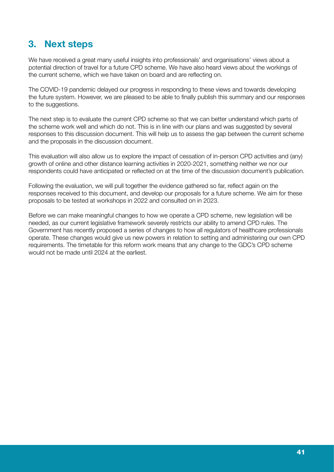# **3. Next steps**

We have received a great many useful insights into professionals' and organisations' views about a potential direction of travel for a future CPD scheme. We have also heard views about the workings of the current scheme, which we have taken on board and are reflecting on.

The COVID-19 pandemic delayed our progress in responding to these views and towards developing the future system. However, we are pleased to be able to finally publish this summary and our responses to the suggestions.

The next step is to evaluate the current CPD scheme so that we can better understand which parts of the scheme work well and which do not. This is in line with our plans and was suggested by several responses to this discussion document. This will help us to assess the gap between the current scheme and the proposals in the discussion document.

This evaluation will also allow us to explore the impact of cessation of in-person CPD activities and (any) growth of online and other distance learning activities in 2020-2021, something neither we nor our respondents could have anticipated or reflected on at the time of the discussion document's publication.

Following the evaluation, we will pull together the evidence gathered so far, reflect again on the responses received to this document, and develop our proposals for a future scheme. We aim for these proposals to be tested at workshops in 2022 and consulted on in 2023.

Before we can make meaningful changes to how we operate a CPD scheme, new legislation will be needed, as our current legislative framework severely restricts our ability to amend CPD rules. The Government has recently proposed a series of changes to how all regulators of healthcare professionals operate. These changes would give us new powers in relation to setting and administering our own CPD requirements. The timetable for this reform work means that any change to the GDC's CPD scheme would not be made until 2024 at the earliest.